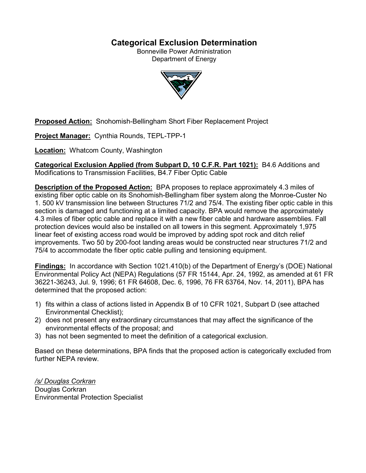# **Categorical Exclusion Determination**

Bonneville Power Administration Department of Energy



**Proposed Action:** Snohomish-Bellingham Short Fiber Replacement Project

**Project Manager:** Cynthia Rounds, TEPL-TPP-1

**Location:** Whatcom County, Washington

**Categorical Exclusion Applied (from Subpart D, 10 C.F.R. Part 1021):** B4.6 Additions and Modifications to Transmission Facilities, B4.7 Fiber Optic Cable

**Description of the Proposed Action:** BPA proposes to replace approximately 4.3 miles of existing fiber optic cable on its Snohomish-Bellingham fiber system along the Monroe-Custer No 1. 500 kV transmission line between Structures 71/2 and 75/4. The existing fiber optic cable in this section is damaged and functioning at a limited capacity. BPA would remove the approximately 4.3 miles of fiber optic cable and replace it with a new fiber cable and hardware assemblies. Fall protection devices would also be installed on all towers in this segment. Approximately 1,975 linear feet of existing access road would be improved by adding spot rock and ditch relief improvements. Two 50 by 200-foot landing areas would be constructed near structures 71/2 and 75/4 to accommodate the fiber optic cable pulling and tensioning equipment.

**Findings:** In accordance with Section 1021.410(b) of the Department of Energy's (DOE) National Environmental Policy Act (NEPA) Regulations (57 FR 15144, Apr. 24, 1992, as amended at 61 FR 36221-36243, Jul. 9, 1996; 61 FR 64608, Dec. 6, 1996, 76 FR 63764, Nov. 14, 2011), BPA has determined that the proposed action:

- 1) fits within a class of actions listed in Appendix B of 10 CFR 1021, Subpart D (see attached Environmental Checklist);
- 2) does not present any extraordinary circumstances that may affect the significance of the environmental effects of the proposal; and
- 3) has not been segmented to meet the definition of a categorical exclusion.

Based on these determinations, BPA finds that the proposed action is categorically excluded from further NEPA review.

*/s/ Douglas Corkran* Douglas Corkran Environmental Protection Specialist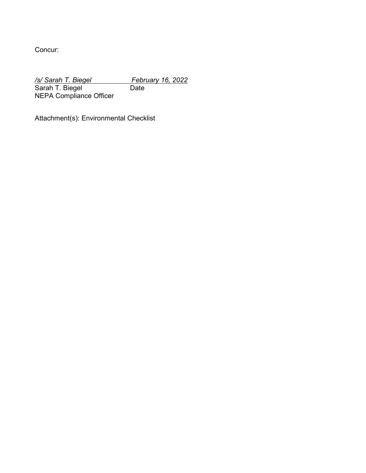Concur:

*/s/ Sarah T. Biegel February 16, 2022*<br>Sarah T. Biegel **Frank Date** Sarah T. Biegel Date NEPA Compliance Officer

Attachment(s): Environmental Checklist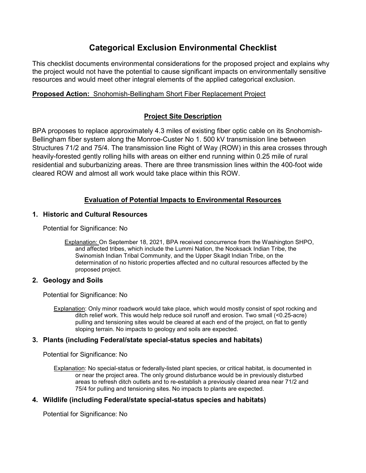# **Categorical Exclusion Environmental Checklist**

This checklist documents environmental considerations for the proposed project and explains why the project would not have the potential to cause significant impacts on environmentally sensitive resources and would meet other integral elements of the applied categorical exclusion.

## **Proposed Action:** Snohomish-Bellingham Short Fiber Replacement Project

# **Project Site Description**

BPA proposes to replace approximately 4.3 miles of existing fiber optic cable on its Snohomish-Bellingham fiber system along the Monroe-Custer No 1. 500 kV transmission line between Structures 71/2 and 75/4. The transmission line Right of Way (ROW) in this area crosses through heavily-forested gently rolling hills with areas on either end running within 0.25 mile of rural residential and suburbanizing areas. There are three transmission lines within the 400-foot wide cleared ROW and almost all work would take place within this ROW.

# **Evaluation of Potential Impacts to Environmental Resources**

### **1. Historic and Cultural Resources**

Potential for Significance: No

Explanation: On September 18, 2021, BPA received concurrence from the Washington SHPO, and affected tribes, which include the Lummi Nation, the Nooksack Indian Tribe, the Swinomish Indian Tribal Community, and the Upper Skagit Indian Tribe, on the determination of no historic properties affected and no cultural resources affected by the proposed project.

## **2. Geology and Soils**

Potential for Significance: No

Explanation: Only minor roadwork would take place, which would mostly consist of spot rocking and ditch relief work. This would help reduce soil runoff and erosion. Two small (<0.25-acre) pulling and tensioning sites would be cleared at each end of the project, on flat to gently sloping terrain. No impacts to geology and soils are expected.

## **3. Plants (including Federal/state special-status species and habitats)**

Potential for Significance: No

Explanation: No special-status or federally-listed plant species, or critical habitat, is documented in or near the project area. The only ground disturbance would be in previously disturbed areas to refresh ditch outlets and to re-establish a previously cleared area near 71/2 and 75/4 for pulling and tensioning sites. No impacts to plants are expected.

## **4. Wildlife (including Federal/state special-status species and habitats)**

Potential for Significance: No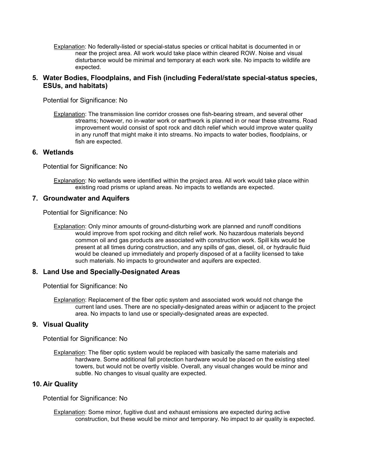Explanation: No federally-listed or special-status species or critical habitat is documented in or near the project area. All work would take place within cleared ROW. Noise and visual disturbance would be minimal and temporary at each work site. No impacts to wildlife are expected.

### **5. Water Bodies, Floodplains, and Fish (including Federal/state special-status species, ESUs, and habitats)**

Potential for Significance: No

Explanation: The transmission line corridor crosses one fish-bearing stream, and several other streams; however, no in-water work or earthwork is planned in or near these streams. Road improvement would consist of spot rock and ditch relief which would improve water quality in any runoff that might make it into streams. No impacts to water bodies, floodplains, or fish are expected.

#### **6. Wetlands**

Potential for Significance: No

Explanation: No wetlands were identified within the project area. All work would take place within existing road prisms or upland areas. No impacts to wetlands are expected.

#### **7. Groundwater and Aquifers**

Potential for Significance: No

Explanation: Only minor amounts of ground-disturbing work are planned and runoff conditions would improve from spot rocking and ditch relief work. No hazardous materials beyond common oil and gas products are associated with construction work. Spill kits would be present at all times during construction, and any spills of gas, diesel, oil, or hydraulic fluid would be cleaned up immediately and properly disposed of at a facility licensed to take such materials. No impacts to groundwater and aquifers are expected.

#### **8. Land Use and Specially-Designated Areas**

Potential for Significance: No

Explanation: Replacement of the fiber optic system and associated work would not change the current land uses. There are no specially-designated areas within or adjacent to the project area. No impacts to land use or specially-designated areas are expected.

#### **9. Visual Quality**

Potential for Significance: No

Explanation: The fiber optic system would be replaced with basically the same materials and hardware. Some additional fall protection hardware would be placed on the existing steel towers, but would not be overtly visible. Overall, any visual changes would be minor and subtle. No changes to visual quality are expected.

#### **10. Air Quality**

Potential for Significance: No

Explanation: Some minor, fugitive dust and exhaust emissions are expected during active construction, but these would be minor and temporary. No impact to air quality is expected.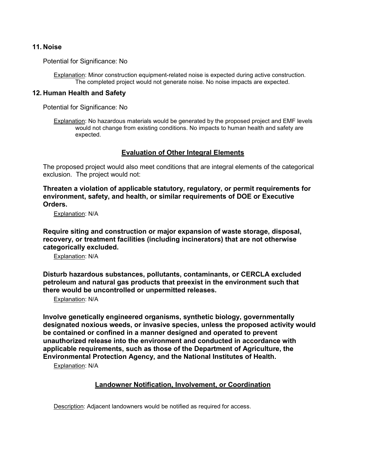#### **11. Noise**

Potential for Significance: No

Explanation: Minor construction equipment-related noise is expected during active construction. The completed project would not generate noise. No noise impacts are expected.

#### **12. Human Health and Safety**

Potential for Significance: No

Explanation: No hazardous materials would be generated by the proposed project and EMF levels would not change from existing conditions. No impacts to human health and safety are expected.

#### **Evaluation of Other Integral Elements**

The proposed project would also meet conditions that are integral elements of the categorical exclusion. The project would not:

**Threaten a violation of applicable statutory, regulatory, or permit requirements for environment, safety, and health, or similar requirements of DOE or Executive Orders.**

Explanation: N/A

**Require siting and construction or major expansion of waste storage, disposal, recovery, or treatment facilities (including incinerators) that are not otherwise categorically excluded.**

Explanation: N/A

**Disturb hazardous substances, pollutants, contaminants, or CERCLA excluded petroleum and natural gas products that preexist in the environment such that there would be uncontrolled or unpermitted releases.**

Explanation: N/A

**Involve genetically engineered organisms, synthetic biology, governmentally designated noxious weeds, or invasive species, unless the proposed activity would be contained or confined in a manner designed and operated to prevent unauthorized release into the environment and conducted in accordance with applicable requirements, such as those of the Department of Agriculture, the Environmental Protection Agency, and the National Institutes of Health.**

Explanation: N/A

### **Landowner Notification, Involvement, or Coordination**

Description: Adjacent landowners would be notified as required for access.